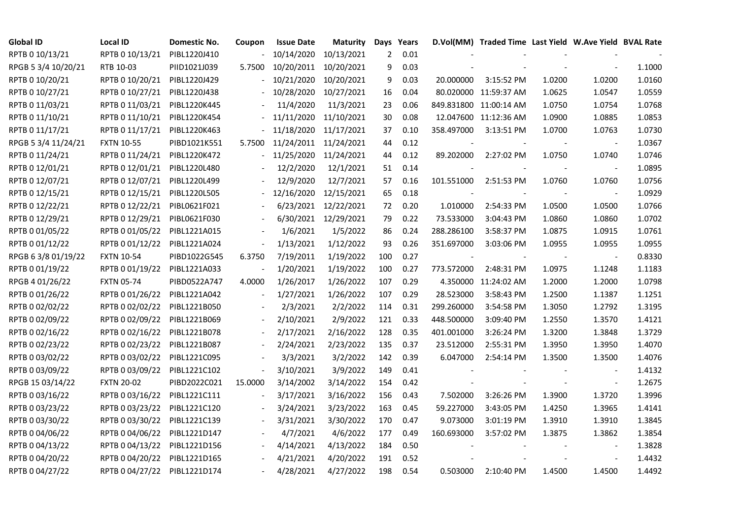| <b>Global ID</b>    | <b>Local ID</b>   | Domestic No. | Coupon         | <b>Issue Date</b>     | <b>Maturity</b>      |     | Days Years |            | D.Vol(MM) Traded Time Last Yield W.Ave Yield BVAL Rate |        |                          |        |
|---------------------|-------------------|--------------|----------------|-----------------------|----------------------|-----|------------|------------|--------------------------------------------------------|--------|--------------------------|--------|
| RPTB 0 10/13/21     | RPTB 0 10/13/21   | PIBL1220J410 |                | 10/14/2020            | 10/13/2021           | 2   | 0.01       |            |                                                        |        |                          |        |
| RPGB 5 3/4 10/20/21 | RTB 10-03         | PIID1021J039 | 5.7500         | 10/20/2011            | 10/20/2021           | 9   | 0.03       |            |                                                        |        |                          | 1.1000 |
| RPTB 0 10/20/21     | RPTB 0 10/20/21   | PIBL1220J429 |                | 10/21/2020            | 10/20/2021           | 9   | 0.03       | 20.000000  | 3:15:52 PM                                             | 1.0200 | 1.0200                   | 1.0160 |
| RPTB 0 10/27/21     | RPTB 0 10/27/21   | PIBL1220J438 |                | 10/28/2020            | 10/27/2021           | 16  | 0.04       |            | 80.020000 11:59:37 AM                                  | 1.0625 | 1.0547                   | 1.0559 |
| RPTB 0 11/03/21     | RPTB 0 11/03/21   | PIBL1220K445 |                | 11/4/2020             | 11/3/2021            | 23  | 0.06       |            | 849.831800 11:00:14 AM                                 | 1.0750 | 1.0754                   | 1.0768 |
| RPTB 0 11/10/21     | RPTB 0 11/10/21   | PIBL1220K454 |                | 11/11/2020            | 11/10/2021           | 30  | 0.08       |            | 12.047600 11:12:36 AM                                  | 1.0900 | 1.0885                   | 1.0853 |
| RPTB 0 11/17/21     | RPTB 0 11/17/21   | PIBL1220K463 |                | 11/18/2020            | 11/17/2021           | 37  | 0.10       | 358.497000 | 3:13:51 PM                                             | 1.0700 | 1.0763                   | 1.0730 |
| RPGB 5 3/4 11/24/21 | <b>FXTN 10-55</b> | PIBD1021K551 | 5.7500         | 11/24/2011 11/24/2021 |                      | 44  | 0.12       |            |                                                        |        | $\overline{\phantom{a}}$ | 1.0367 |
| RPTB 0 11/24/21     | RPTB 0 11/24/21   | PIBL1220K472 |                | 11/25/2020            | 11/24/2021           | 44  | 0.12       | 89.202000  | 2:27:02 PM                                             | 1.0750 | 1.0740                   | 1.0746 |
| RPTB 0 12/01/21     | RPTB 0 12/01/21   | PIBL1220L480 |                | 12/2/2020             | 12/1/2021            | 51  | 0.14       |            |                                                        |        | $\overline{\phantom{a}}$ | 1.0895 |
| RPTB 0 12/07/21     | RPTB 0 12/07/21   | PIBL1220L499 |                | 12/9/2020             | 12/7/2021            | 57  | 0.16       | 101.551000 | 2:51:53 PM                                             | 1.0760 | 1.0760                   | 1.0756 |
| RPTB 0 12/15/21     | RPTB 0 12/15/21   | PIBL1220L505 |                | 12/16/2020            | 12/15/2021           | 65  | 0.18       |            |                                                        |        | $\overline{\phantom{a}}$ | 1.0929 |
| RPTB 0 12/22/21     | RPTB 0 12/22/21   | PIBL0621F021 |                | 6/23/2021             | 12/22/2021           | 72  | 0.20       | 1.010000   | 2:54:33 PM                                             | 1.0500 | 1.0500                   | 1.0766 |
| RPTB 0 12/29/21     | RPTB 0 12/29/21   | PIBL0621F030 |                |                       | 6/30/2021 12/29/2021 | 79  | 0.22       | 73.533000  | 3:04:43 PM                                             | 1.0860 | 1.0860                   | 1.0702 |
| RPTB 0 01/05/22     | RPTB 0 01/05/22   | PIBL1221A015 |                | 1/6/2021              | 1/5/2022             | 86  | 0.24       | 288.286100 | 3:58:37 PM                                             | 1.0875 | 1.0915                   | 1.0761 |
| RPTB 0 01/12/22     | RPTB 0 01/12/22   | PIBL1221A024 |                | 1/13/2021             | 1/12/2022            | 93  | 0.26       | 351.697000 | 3:03:06 PM                                             | 1.0955 | 1.0955                   | 1.0955 |
| RPGB 63/8 01/19/22  | <b>FXTN 10-54</b> | PIBD1022G545 | 6.3750         | 7/19/2011             | 1/19/2022            | 100 | 0.27       |            |                                                        |        | $\overline{\phantom{a}}$ | 0.8330 |
| RPTB 0 01/19/22     | RPTB 0 01/19/22   | PIBL1221A033 |                | 1/20/2021             | 1/19/2022            | 100 | 0.27       | 773.572000 | 2:48:31 PM                                             | 1.0975 | 1.1248                   | 1.1183 |
| RPGB 4 01/26/22     | <b>FXTN 05-74</b> | PIBD0522A747 | 4.0000         | 1/26/2017             | 1/26/2022            | 107 | 0.29       | 4.350000   | 11:24:02 AM                                            | 1.2000 | 1.2000                   | 1.0798 |
| RPTB 0 01/26/22     | RPTB 0 01/26/22   | PIBL1221A042 |                | 1/27/2021             | 1/26/2022            | 107 | 0.29       | 28.523000  | 3:58:43 PM                                             | 1.2500 | 1.1387                   | 1.1251 |
| RPTB 0 02/02/22     | RPTB 0 02/02/22   | PIBL1221B050 |                | 2/3/2021              | 2/2/2022             | 114 | 0.31       | 299.260000 | 3:54:58 PM                                             | 1.3050 | 1.2792                   | 1.3195 |
| RPTB 0 02/09/22     | RPTB 0 02/09/22   | PIBL1221B069 |                | 2/10/2021             | 2/9/2022             | 121 | 0.33       | 448.500000 | 3:09:40 PM                                             | 1.2550 | 1.3570                   | 1.4121 |
| RPTB 0 02/16/22     | RPTB 0 02/16/22   | PIBL1221B078 |                | 2/17/2021             | 2/16/2022            | 128 | 0.35       | 401.001000 | 3:26:24 PM                                             | 1.3200 | 1.3848                   | 1.3729 |
| RPTB 0 02/23/22     | RPTB 0 02/23/22   | PIBL1221B087 |                | 2/24/2021             | 2/23/2022            | 135 | 0.37       | 23.512000  | 2:55:31 PM                                             | 1.3950 | 1.3950                   | 1.4070 |
| RPTB 0 03/02/22     | RPTB 0 03/02/22   | PIBL1221C095 |                | 3/3/2021              | 3/2/2022             | 142 | 0.39       | 6.047000   | 2:54:14 PM                                             | 1.3500 | 1.3500                   | 1.4076 |
| RPTB 0 03/09/22     | RPTB 0 03/09/22   | PIBL1221C102 | $\blacksquare$ | 3/10/2021             | 3/9/2022             | 149 | 0.41       |            |                                                        |        |                          | 1.4132 |
| RPGB 15 03/14/22    | <b>FXTN 20-02</b> | PIBD2022C021 | 15.0000        | 3/14/2002             | 3/14/2022            | 154 | 0.42       |            |                                                        |        | $\blacksquare$           | 1.2675 |
| RPTB 0 03/16/22     | RPTB 0 03/16/22   | PIBL1221C111 |                | 3/17/2021             | 3/16/2022            | 156 | 0.43       | 7.502000   | 3:26:26 PM                                             | 1.3900 | 1.3720                   | 1.3996 |
| RPTB 0 03/23/22     | RPTB 0 03/23/22   | PIBL1221C120 |                | 3/24/2021             | 3/23/2022            | 163 | 0.45       | 59.227000  | 3:43:05 PM                                             | 1.4250 | 1.3965                   | 1.4141 |
| RPTB 0 03/30/22     | RPTB 0 03/30/22   | PIBL1221C139 |                | 3/31/2021             | 3/30/2022            | 170 | 0.47       | 9.073000   | 3:01:19 PM                                             | 1.3910 | 1.3910                   | 1.3845 |
| RPTB 0 04/06/22     | RPTB 0 04/06/22   | PIBL1221D147 |                | 4/7/2021              | 4/6/2022             | 177 | 0.49       | 160.693000 | 3:57:02 PM                                             | 1.3875 | 1.3862                   | 1.3854 |
| RPTB 0 04/13/22     | RPTB 0 04/13/22   | PIBL1221D156 |                | 4/14/2021             | 4/13/2022            | 184 | 0.50       |            |                                                        |        |                          | 1.3828 |
| RPTB 0 04/20/22     | RPTB 0 04/20/22   | PIBL1221D165 |                | 4/21/2021             | 4/20/2022            | 191 | 0.52       |            |                                                        |        |                          | 1.4432 |
| RPTB 0 04/27/22     | RPTB 0 04/27/22   | PIBL1221D174 |                | 4/28/2021             | 4/27/2022            | 198 | 0.54       | 0.503000   | 2:10:40 PM                                             | 1.4500 | 1.4500                   | 1.4492 |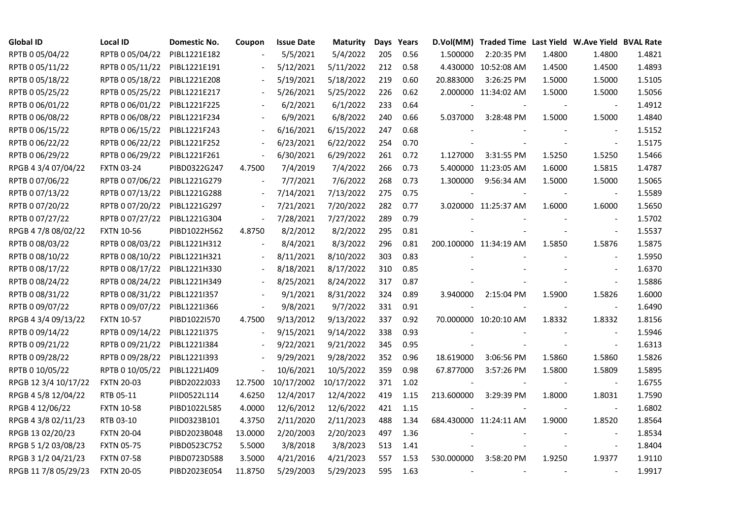| <b>Global ID</b>     | Local ID          | Domestic No. | Coupon                   | <b>Issue Date</b> | <b>Maturity</b>       |     | Days Years |            | D.Vol(MM) Traded Time Last Yield W.Ave Yield BVAL Rate |        |                          |        |
|----------------------|-------------------|--------------|--------------------------|-------------------|-----------------------|-----|------------|------------|--------------------------------------------------------|--------|--------------------------|--------|
| RPTB 0 05/04/22      | RPTB 0 05/04/22   | PIBL1221E182 |                          | 5/5/2021          | 5/4/2022              | 205 | 0.56       | 1.500000   | 2:20:35 PM                                             | 1.4800 | 1.4800                   | 1.4821 |
| RPTB 0 05/11/22      | RPTB 0 05/11/22   | PIBL1221E191 |                          | 5/12/2021         | 5/11/2022             | 212 | 0.58       |            | 4.430000 10:52:08 AM                                   | 1.4500 | 1.4500                   | 1.4893 |
| RPTB 0 05/18/22      | RPTB 0 05/18/22   | PIBL1221E208 | $\overline{\phantom{a}}$ | 5/19/2021         | 5/18/2022             | 219 | 0.60       | 20.883000  | 3:26:25 PM                                             | 1.5000 | 1.5000                   | 1.5105 |
| RPTB 0 05/25/22      | RPTB 0 05/25/22   | PIBL1221E217 | $\overline{\phantom{a}}$ | 5/26/2021         | 5/25/2022             | 226 | 0.62       |            | 2.000000 11:34:02 AM                                   | 1.5000 | 1.5000                   | 1.5056 |
| RPTB 0 06/01/22      | RPTB 0 06/01/22   | PIBL1221F225 |                          | 6/2/2021          | 6/1/2022              | 233 | 0.64       |            |                                                        |        | $\blacksquare$           | 1.4912 |
| RPTB 0 06/08/22      | RPTB 0 06/08/22   | PIBL1221F234 |                          | 6/9/2021          | 6/8/2022              | 240 | 0.66       | 5.037000   | 3:28:48 PM                                             | 1.5000 | 1.5000                   | 1.4840 |
| RPTB 0 06/15/22      | RPTB 0 06/15/22   | PIBL1221F243 |                          | 6/16/2021         | 6/15/2022             | 247 | 0.68       |            |                                                        |        | $\overline{\phantom{a}}$ | 1.5152 |
| RPTB 0 06/22/22      | RPTB 0 06/22/22   | PIBL1221F252 |                          | 6/23/2021         | 6/22/2022             | 254 | 0.70       |            |                                                        |        | $\sim$                   | 1.5175 |
| RPTB 0 06/29/22      | RPTB 0 06/29/22   | PIBL1221F261 |                          | 6/30/2021         | 6/29/2022             | 261 | 0.72       | 1.127000   | 3:31:55 PM                                             | 1.5250 | 1.5250                   | 1.5466 |
| RPGB 4 3/4 07/04/22  | <b>FXTN 03-24</b> | PIBD0322G247 | 4.7500                   | 7/4/2019          | 7/4/2022              | 266 | 0.73       |            | 5.400000 11:23:05 AM                                   | 1.6000 | 1.5815                   | 1.4787 |
| RPTB 0 07/06/22      | RPTB 0 07/06/22   | PIBL1221G279 | $\blacksquare$           | 7/7/2021          | 7/6/2022              | 268 | 0.73       | 1.300000   | 9:56:34 AM                                             | 1.5000 | 1.5000                   | 1.5065 |
| RPTB 0 07/13/22      | RPTB 0 07/13/22   | PIBL1221G288 | $\Box$                   | 7/14/2021         | 7/13/2022             | 275 | 0.75       |            |                                                        |        | $\blacksquare$           | 1.5589 |
| RPTB 0 07/20/22      | RPTB 0 07/20/22   | PIBL1221G297 | $\blacksquare$           | 7/21/2021         | 7/20/2022             | 282 | 0.77       |            | 3.020000 11:25:37 AM                                   | 1.6000 | 1.6000                   | 1.5650 |
| RPTB 0 07/27/22      | RPTB 0 07/27/22   | PIBL1221G304 | $\overline{\phantom{a}}$ | 7/28/2021         | 7/27/2022             | 289 | 0.79       |            |                                                        |        | $\overline{\phantom{a}}$ | 1.5702 |
| RPGB 4 7/8 08/02/22  | <b>FXTN 10-56</b> | PIBD1022H562 | 4.8750                   | 8/2/2012          | 8/2/2022              | 295 | 0.81       |            |                                                        |        | $\blacksquare$           | 1.5537 |
| RPTB 0 08/03/22      | RPTB 0 08/03/22   | PIBL1221H312 |                          | 8/4/2021          | 8/3/2022              | 296 | 0.81       |            | 200.100000 11:34:19 AM                                 | 1.5850 | 1.5876                   | 1.5875 |
| RPTB 0 08/10/22      | RPTB 0 08/10/22   | PIBL1221H321 | $\overline{\phantom{a}}$ | 8/11/2021         | 8/10/2022             | 303 | 0.83       |            |                                                        |        |                          | 1.5950 |
| RPTB 0 08/17/22      | RPTB 0 08/17/22   | PIBL1221H330 | $\blacksquare$           | 8/18/2021         | 8/17/2022             | 310 | 0.85       |            |                                                        |        | $\overline{\phantom{a}}$ | 1.6370 |
| RPTB 0 08/24/22      | RPTB 0 08/24/22   | PIBL1221H349 |                          | 8/25/2021         | 8/24/2022             | 317 | 0.87       |            |                                                        |        |                          | 1.5886 |
| RPTB 0 08/31/22      | RPTB 0 08/31/22   | PIBL1221I357 |                          | 9/1/2021          | 8/31/2022             | 324 | 0.89       | 3.940000   | 2:15:04 PM                                             | 1.5900 | 1.5826                   | 1.6000 |
| RPTB 0 09/07/22      | RPTB 0 09/07/22   | PIBL1221I366 | $\blacksquare$           | 9/8/2021          | 9/7/2022              | 331 | 0.91       |            | $\overline{\phantom{a}}$                               |        | $\blacksquare$           | 1.6490 |
| RPGB 4 3/4 09/13/22  | <b>FXTN 10-57</b> | PIBD1022I570 | 4.7500                   | 9/13/2012         | 9/13/2022             | 337 | 0.92       |            | 70.000000 10:20:10 AM                                  | 1.8332 | 1.8332                   | 1.8156 |
| RPTB 0 09/14/22      | RPTB 0 09/14/22   | PIBL1221I375 |                          | 9/15/2021         | 9/14/2022             | 338 | 0.93       |            |                                                        |        |                          | 1.5946 |
| RPTB 0 09/21/22      | RPTB 0 09/21/22   | PIBL1221I384 | $\overline{\phantom{a}}$ | 9/22/2021         | 9/21/2022             | 345 | 0.95       |            |                                                        |        | $\overline{\phantom{a}}$ | 1.6313 |
| RPTB 0 09/28/22      | RPTB 0 09/28/22   | PIBL12211393 | $\overline{\phantom{a}}$ | 9/29/2021         | 9/28/2022             | 352 | 0.96       | 18.619000  | 3:06:56 PM                                             | 1.5860 | 1.5860                   | 1.5826 |
| RPTB 0 10/05/22      | RPTB 0 10/05/22   | PIBL1221J409 | $\Box$                   | 10/6/2021         | 10/5/2022             | 359 | 0.98       | 67.877000  | 3:57:26 PM                                             | 1.5800 | 1.5809                   | 1.5895 |
| RPGB 12 3/4 10/17/22 | <b>FXTN 20-03</b> | PIBD2022J033 | 12.7500                  |                   | 10/17/2002 10/17/2022 | 371 | 1.02       |            |                                                        |        | $\blacksquare$           | 1.6755 |
| RPGB 4 5/8 12/04/22  | RTB 05-11         | PIID0522L114 | 4.6250                   | 12/4/2017         | 12/4/2022             | 419 | 1.15       | 213.600000 | 3:29:39 PM                                             | 1.8000 | 1.8031                   | 1.7590 |
| RPGB 4 12/06/22      | <b>FXTN 10-58</b> | PIBD1022L585 | 4.0000                   | 12/6/2012         | 12/6/2022             | 421 | 1.15       |            |                                                        |        | $\blacksquare$           | 1.6802 |
| RPGB 4 3/8 02/11/23  | RTB 03-10         | PIID0323B101 | 4.3750                   | 2/11/2020         | 2/11/2023             | 488 | 1.34       |            | 684.430000 11:24:11 AM                                 | 1.9000 | 1.8520                   | 1.8564 |
| RPGB 13 02/20/23     | <b>FXTN 20-04</b> | PIBD2023B048 | 13.0000                  | 2/20/2003         | 2/20/2023             | 497 | 1.36       |            |                                                        |        |                          | 1.8534 |
| RPGB 5 1/2 03/08/23  | <b>FXTN 05-75</b> | PIBD0523C752 | 5.5000                   | 3/8/2018          | 3/8/2023              | 513 | 1.41       |            |                                                        |        | $\overline{\phantom{a}}$ | 1.8404 |
| RPGB 3 1/2 04/21/23  | <b>FXTN 07-58</b> | PIBD0723D588 | 3.5000                   | 4/21/2016         | 4/21/2023             | 557 | 1.53       | 530.000000 | 3:58:20 PM                                             | 1.9250 | 1.9377                   | 1.9110 |
| RPGB 11 7/8 05/29/23 | <b>FXTN 20-05</b> | PIBD2023E054 | 11.8750                  | 5/29/2003         | 5/29/2023             | 595 | 1.63       |            |                                                        |        |                          | 1.9917 |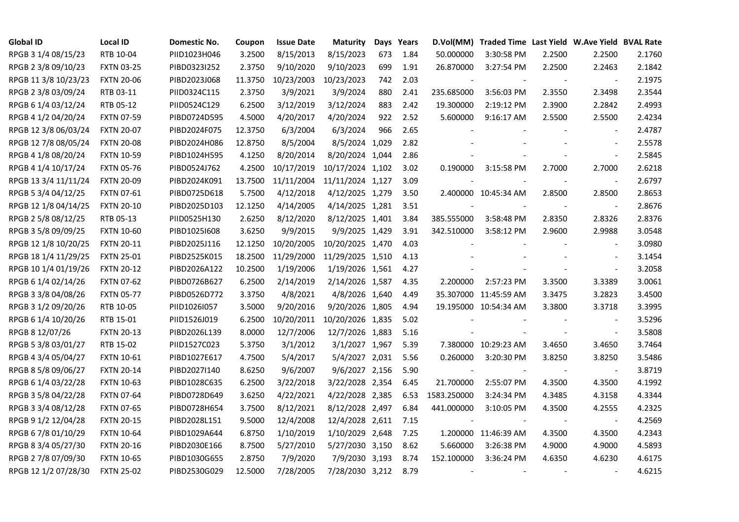| <b>Global ID</b>     | <b>Local ID</b>   | Domestic No. | Coupon  | <b>Issue Date</b> | <b>Maturity</b>  |     | Days Years | D.Vol(MM)                | Traded Time Last Yield W.Ave Yield BVAL Rate |        |                          |        |
|----------------------|-------------------|--------------|---------|-------------------|------------------|-----|------------|--------------------------|----------------------------------------------|--------|--------------------------|--------|
| RPGB 3 1/4 08/15/23  | RTB 10-04         | PIID1023H046 | 3.2500  | 8/15/2013         | 8/15/2023        | 673 | 1.84       | 50.000000                | 3:30:58 PM                                   | 2.2500 | 2.2500                   | 2.1760 |
| RPGB 2 3/8 09/10/23  | <b>FXTN 03-25</b> | PIBD0323I252 | 2.3750  | 9/10/2020         | 9/10/2023        | 699 | 1.91       | 26.870000                | 3:27:54 PM                                   | 2.2500 | 2.2463                   | 2.1842 |
| RPGB 11 3/8 10/23/23 | <b>FXTN 20-06</b> | PIBD2023J068 | 11.3750 | 10/23/2003        | 10/23/2023       | 742 | 2.03       |                          |                                              | $\sim$ | $\blacksquare$           | 2.1975 |
| RPGB 2 3/8 03/09/24  | RTB 03-11         | PIID0324C115 | 2.3750  | 3/9/2021          | 3/9/2024         | 880 | 2.41       | 235.685000               | 3:56:03 PM                                   | 2.3550 | 2.3498                   | 2.3544 |
| RPGB 6 1/4 03/12/24  | RTB 05-12         | PIID0524C129 | 6.2500  | 3/12/2019         | 3/12/2024        | 883 | 2.42       | 19.300000                | 2:19:12 PM                                   | 2.3900 | 2.2842                   | 2.4993 |
| RPGB 4 1/2 04/20/24  | <b>FXTN 07-59</b> | PIBD0724D595 | 4.5000  | 4/20/2017         | 4/20/2024        | 922 | 2.52       | 5.600000                 | 9:16:17 AM                                   | 2.5500 | 2.5500                   | 2.4234 |
| RPGB 12 3/8 06/03/24 | <b>FXTN 20-07</b> | PIBD2024F075 | 12.3750 | 6/3/2004          | 6/3/2024         | 966 | 2.65       |                          |                                              |        | $\blacksquare$           | 2.4787 |
| RPGB 12 7/8 08/05/24 | <b>FXTN 20-08</b> | PIBD2024H086 | 12.8750 | 8/5/2004          | 8/5/2024 1,029   |     | 2.82       |                          |                                              |        | $\sim$                   | 2.5578 |
| RPGB 4 1/8 08/20/24  | <b>FXTN 10-59</b> | PIBD1024H595 | 4.1250  | 8/20/2014         | 8/20/2024 1,044  |     | 2.86       |                          |                                              |        | $\overline{\phantom{a}}$ | 2.5845 |
| RPGB 4 1/4 10/17/24  | <b>FXTN 05-76</b> | PIBD0524J762 | 4.2500  | 10/17/2019        | 10/17/2024 1,102 |     | 3.02       | 0.190000                 | 3:15:58 PM                                   | 2.7000 | 2.7000                   | 2.6218 |
| RPGB 13 3/4 11/11/24 | <b>FXTN 20-09</b> | PIBD2024K091 | 13.7500 | 11/11/2004        | 11/11/2024 1,127 |     | 3.09       |                          |                                              | $\sim$ | $\blacksquare$           | 2.6797 |
| RPGB 5 3/4 04/12/25  | <b>FXTN 07-61</b> | PIBD0725D618 | 5.7500  | 4/12/2018         | 4/12/2025 1,279  |     | 3.50       |                          | 2.400000 10:45:34 AM                         | 2.8500 | 2.8500                   | 2.8653 |
| RPGB 12 1/8 04/14/25 | <b>FXTN 20-10</b> | PIBD2025D103 | 12.1250 | 4/14/2005         | 4/14/2025 1,281  |     | 3.51       |                          |                                              |        | $\overline{\phantom{a}}$ | 2.8676 |
| RPGB 2 5/8 08/12/25  | RTB 05-13         | PIID0525H130 | 2.6250  | 8/12/2020         | 8/12/2025 1,401  |     | 3.84       | 385.555000               | 3:58:48 PM                                   | 2.8350 | 2.8326                   | 2.8376 |
| RPGB 3 5/8 09/09/25  | <b>FXTN 10-60</b> | PIBD10251608 | 3.6250  | 9/9/2015          | 9/9/2025 1,429   |     | 3.91       | 342.510000               | 3:58:12 PM                                   | 2.9600 | 2.9988                   | 3.0548 |
| RPGB 12 1/8 10/20/25 | <b>FXTN 20-11</b> | PIBD2025J116 | 12.1250 | 10/20/2005        | 10/20/2025 1,470 |     | 4.03       |                          |                                              |        |                          | 3.0980 |
| RPGB 18 1/4 11/29/25 | <b>FXTN 25-01</b> | PIBD2525K015 | 18.2500 | 11/29/2000        | 11/29/2025 1,510 |     | 4.13       |                          |                                              |        | $\sim$                   | 3.1454 |
| RPGB 10 1/4 01/19/26 | <b>FXTN 20-12</b> | PIBD2026A122 | 10.2500 | 1/19/2006         | 1/19/2026 1,561  |     | 4.27       |                          |                                              |        | $\blacksquare$           | 3.2058 |
| RPGB 6 1/4 02/14/26  | <b>FXTN 07-62</b> | PIBD0726B627 | 6.2500  | 2/14/2019         | 2/14/2026 1,587  |     | 4.35       | 2.200000                 | 2:57:23 PM                                   | 3.3500 | 3.3389                   | 3.0061 |
| RPGB 3 3/8 04/08/26  | <b>FXTN 05-77</b> | PIBD0526D772 | 3.3750  | 4/8/2021          | 4/8/2026 1,640   |     | 4.49       |                          | 35.307000 11:45:59 AM                        | 3.3475 | 3.2823                   | 3.4500 |
| RPGB 3 1/2 09/20/26  | RTB 10-05         | PIID1026I057 | 3.5000  | 9/20/2016         | 9/20/2026 1,805  |     | 4.94       |                          | 19.195000 10:54:34 AM                        | 3.3800 | 3.3718                   | 3.3995 |
| RPGB 6 1/4 10/20/26  | RTB 15-01         | PIID1526J019 | 6.2500  | 10/20/2011        | 10/20/2026 1,835 |     | 5.02       |                          |                                              |        | $\sim$                   | 3.5296 |
| RPGB 8 12/07/26      | <b>FXTN 20-13</b> | PIBD2026L139 | 8.0000  | 12/7/2006         | 12/7/2026 1,883  |     | 5.16       |                          |                                              |        | $\overline{\phantom{a}}$ | 3.5808 |
| RPGB 5 3/8 03/01/27  | RTB 15-02         | PIID1527C023 | 5.3750  | 3/1/2012          | 3/1/2027 1,967   |     | 5.39       |                          | 7.380000 10:29:23 AM                         | 3.4650 | 3.4650                   | 3.7464 |
| RPGB 4 3/4 05/04/27  | <b>FXTN 10-61</b> | PIBD1027E617 | 4.7500  | 5/4/2017          | 5/4/2027 2,031   |     | 5.56       | 0.260000                 | 3:20:30 PM                                   | 3.8250 | 3.8250                   | 3.5486 |
| RPGB 8 5/8 09/06/27  | <b>FXTN 20-14</b> | PIBD2027I140 | 8.6250  | 9/6/2007          | 9/6/2027 2,156   |     | 5.90       |                          |                                              |        | $\blacksquare$           | 3.8719 |
| RPGB 6 1/4 03/22/28  | <b>FXTN 10-63</b> | PIBD1028C635 | 6.2500  | 3/22/2018         | 3/22/2028 2,354  |     | 6.45       | 21.700000                | 2:55:07 PM                                   | 4.3500 | 4.3500                   | 4.1992 |
| RPGB 3 5/8 04/22/28  | <b>FXTN 07-64</b> | PIBD0728D649 | 3.6250  | 4/22/2021         | 4/22/2028 2,385  |     | 6.53       | 1583.250000              | 3:24:34 PM                                   | 4.3485 | 4.3158                   | 4.3344 |
| RPGB 3 3/4 08/12/28  | <b>FXTN 07-65</b> | PIBD0728H654 | 3.7500  | 8/12/2021         | 8/12/2028 2,497  |     | 6.84       | 441.000000               | 3:10:05 PM                                   | 4.3500 | 4.2555                   | 4.2325 |
| RPGB 9 1/2 12/04/28  | <b>FXTN 20-15</b> | PIBD2028L151 | 9.5000  | 12/4/2008         | 12/4/2028 2,611  |     | 7.15       |                          |                                              |        |                          | 4.2569 |
| RPGB 67/8 01/10/29   | <b>FXTN 10-64</b> | PIBD1029A644 | 6.8750  | 1/10/2019         | 1/10/2029 2,648  |     | 7.25       |                          | 1.200000 11:46:39 AM                         | 4.3500 | 4.3500                   | 4.2343 |
| RPGB 8 3/4 05/27/30  | <b>FXTN 20-16</b> | PIBD2030E166 | 8.7500  | 5/27/2010         | 5/27/2030 3,150  |     | 8.62       | 5.660000                 | 3:26:38 PM                                   | 4.9000 | 4.9000                   | 4.5893 |
| RPGB 2 7/8 07/09/30  | <b>FXTN 10-65</b> | PIBD1030G655 | 2.8750  | 7/9/2020          | 7/9/2030 3,193   |     | 8.74       | 152.100000               | 3:36:24 PM                                   | 4.6350 | 4.6230                   | 4.6175 |
| RPGB 12 1/2 07/28/30 | <b>FXTN 25-02</b> | PIBD2530G029 | 12.5000 | 7/28/2005         | 7/28/2030 3,212  |     | 8.79       | $\overline{\phantom{a}}$ |                                              |        | $\sim$                   | 4.6215 |